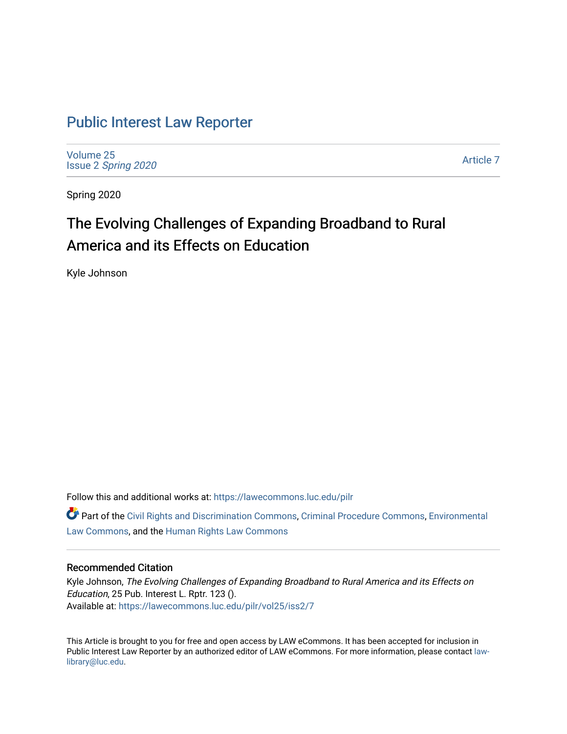## [Public Interest Law Reporter](https://lawecommons.luc.edu/pilr)

[Volume 25](https://lawecommons.luc.edu/pilr/vol25) Issue 2 [Spring 2020](https://lawecommons.luc.edu/pilr/vol25/iss2) 

[Article 7](https://lawecommons.luc.edu/pilr/vol25/iss2/7) 

Spring 2020

# The Evolving Challenges of Expanding Broadband to Rural America and its Effects on Education

Kyle Johnson

Follow this and additional works at: [https://lawecommons.luc.edu/pilr](https://lawecommons.luc.edu/pilr?utm_source=lawecommons.luc.edu%2Fpilr%2Fvol25%2Fiss2%2F7&utm_medium=PDF&utm_campaign=PDFCoverPages) 

Part of the [Civil Rights and Discrimination Commons,](http://network.bepress.com/hgg/discipline/585?utm_source=lawecommons.luc.edu%2Fpilr%2Fvol25%2Fiss2%2F7&utm_medium=PDF&utm_campaign=PDFCoverPages) [Criminal Procedure Commons,](http://network.bepress.com/hgg/discipline/1073?utm_source=lawecommons.luc.edu%2Fpilr%2Fvol25%2Fiss2%2F7&utm_medium=PDF&utm_campaign=PDFCoverPages) [Environmental](http://network.bepress.com/hgg/discipline/599?utm_source=lawecommons.luc.edu%2Fpilr%2Fvol25%2Fiss2%2F7&utm_medium=PDF&utm_campaign=PDFCoverPages)  [Law Commons,](http://network.bepress.com/hgg/discipline/599?utm_source=lawecommons.luc.edu%2Fpilr%2Fvol25%2Fiss2%2F7&utm_medium=PDF&utm_campaign=PDFCoverPages) and the [Human Rights Law Commons](http://network.bepress.com/hgg/discipline/847?utm_source=lawecommons.luc.edu%2Fpilr%2Fvol25%2Fiss2%2F7&utm_medium=PDF&utm_campaign=PDFCoverPages)

### Recommended Citation

Kyle Johnson, The Evolving Challenges of Expanding Broadband to Rural America and its Effects on Education, 25 Pub. Interest L. Rptr. 123 (). Available at: [https://lawecommons.luc.edu/pilr/vol25/iss2/7](https://lawecommons.luc.edu/pilr/vol25/iss2/7?utm_source=lawecommons.luc.edu%2Fpilr%2Fvol25%2Fiss2%2F7&utm_medium=PDF&utm_campaign=PDFCoverPages)

This Article is brought to you for free and open access by LAW eCommons. It has been accepted for inclusion in Public Interest Law Reporter by an authorized editor of LAW eCommons. For more information, please contact [law](mailto:law-library@luc.edu)[library@luc.edu.](mailto:law-library@luc.edu)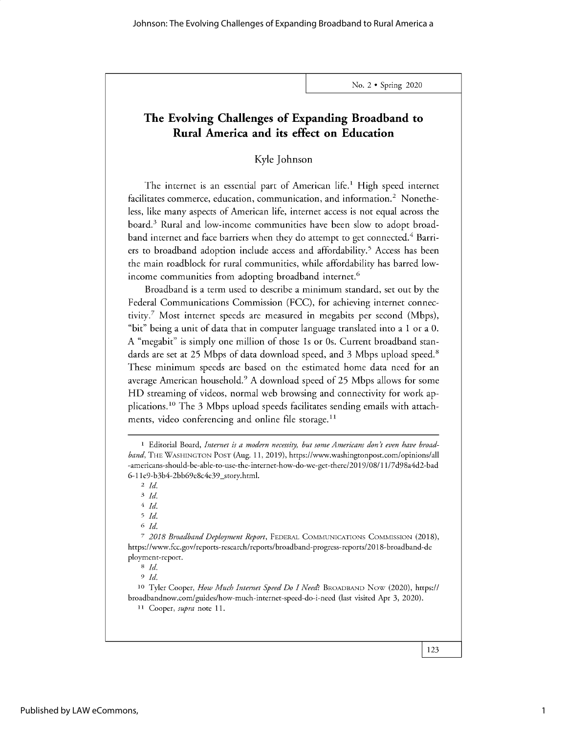## **The Evolving Challenges of Expanding Broadband to Rural America and its effect on Education**

## Kyle Johnson

The internet is an essential part of American life.<sup>1</sup> High speed internet facilitates commerce, education, communication, and information.<sup>2</sup> Nonetheless, like many aspects of American life, internet access is not equal across the board.3 Rural and low-income communities have been slow to adopt broadband internet and face barriers when they do attempt to get connected.<sup>4</sup> Barriers to broadband adoption include access and affordability.<sup>5</sup> Access has been the main roadblock for rural communities, while affordability has barred lowincome communities from adopting broadband internet.<sup>6</sup>

Broadband is a term used to describe a minimum standard, set out by the Federal Communications Commission (FCC), for achieving internet connectivity.<sup>7</sup> Most internet speeds are measured in megabits per second (Mbps), "bit" being a unit of data that in computer language translated into a 1 or a 0. A "megabit" is simply one million of those is or Os. Current broadband standards are set at *25* Mbps of data download speed, and 3 Mbps upload speed.' These minimum speeds are based on the estimated home data need for an average American household.9 A download speed of *25* Mbps allows for some HD streaming of videos, normal web browsing and connectivity for work applications.<sup>10</sup> The 3 Mbps upload speeds facilitates sending emails with attachments, video conferencing and online file storage. $11$ 

*4 Id.*

*5 Id.*

6 *Id.*

<sup>7</sup>*2018 Broadband Deployment Report,* FEDERAL COMMUNICATIONS COMMISSION (2018), https://www.fcc.gov/reports-research/reports/broadband-progress-reports/2018-broadband-de ployment-report.

*8 Id. <sup>9</sup>Id.*

**<sup>10</sup>**Tyler Cooper, *How Much Internet Speed Do I Need?* BROADBAND Now (2020), *https://* broadbandnow.com/guides/how-much-internet-speed-do-i-need (last visited Apr 3, 2020).

**<sup>11</sup>**Cooper, *supra* note 11.

**<sup>1</sup>** Editorial Board, *Internet is a modern necessity, but some Americans don't even have broadband,* THE WASHINGTON POST (Aug. 11, 2019), https://www.washingtonpost.com/opinions/all -americans-should-be-able-to-use-the-internet-how-do-we-get-there/2019/08/11/7d98a4d2-bad 6-1 1e9-b3b4-2bb69e8c4e39\_story.html.

*<sup>2</sup>Id.*

*<sup>3</sup> Id.*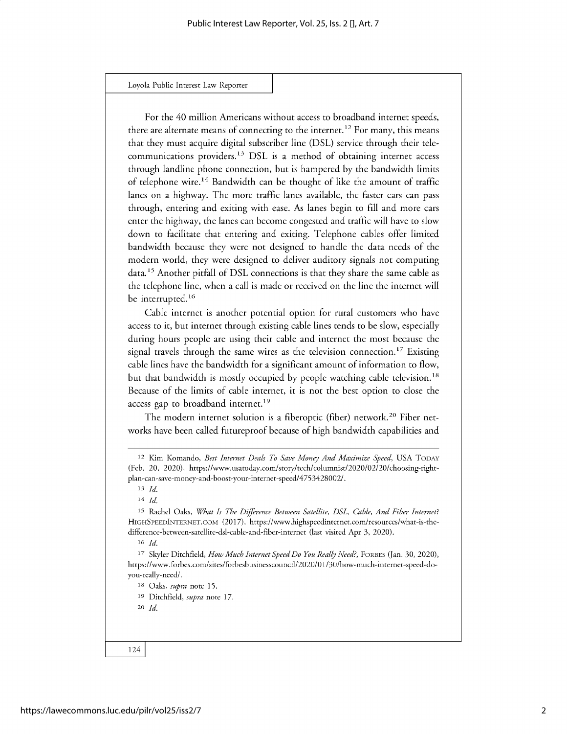For the 40 million Americans without access to broadband internet speeds, there are alternate means of connecting to the internet.<sup>12</sup> For many, this means that they must acquire digital subscriber line (DSL) service through their telecommunications providers.13 DSL is a method of obtaining internet access through landline phone connection, but is hampered by the bandwidth limits of telephone wire.<sup>14</sup> Bandwidth can be thought of like the amount of traffic lanes on a highway. The more traffic lanes available, the faster cars can pass through, entering and exiting with ease. As lanes begin to fill and more cars enter the highway, the lanes can become congested and traffic will have to slow down to facilitate that entering and exiting. Telephone cables offer limited bandwidth because they were not designed to handle the data needs of the modern world, they were designed to deliver auditory signals not computing data.<sup>15</sup> Another pitfall of DSL connections is that they share the same cable as the telephone line, when a call is made or received on the line the internet will be interrupted.<sup>16</sup>

Cable internet is another potential option for rural customers who have access to it, but internet through existing cable lines tends to be slow, especially during hours people are using their cable and internet the most because the signal travels through the same wires as the television connection.<sup>17</sup> Existing cable lines have the bandwidth for a significant amount of information to flow, but that bandwidth is mostly occupied by people watching cable television.<sup>18</sup> Because of the limits of cable internet, it is not the best option to close the access gap to broadband internet.<sup>19</sup>

The modern internet solution is a fiberoptic (fiber) network.<sup>20</sup> Fiber networks have been called futureproof because of high bandwidth capabilities and

**14** *Id.*

**16** *Id.*

**17** Skyler Ditchfield, *How Much Internet Speed Do You Really Need?,* **FORBES** (Jan. 30, 2020), https://www.forbes.com/sites/forbesbusinesscouncil/2020/01/30/how-much-internet-speed-doyou-really-need/.

**18** Oaks, *supra* note 15.

**<sup>19</sup>**Ditchfield, *supra* note 17.

**20** *Id.*

**<sup>12</sup>**Kim Komando, Best *Internet Deals To Save Money And Maximize Speed,* USA **TODAY** (Feb. 20, 2020), https://www.usatoday.com/story/tech/columnist/2020/02/20/choosing-rightplan-can-save-money-and-boost-your-internet-speed/4753428002/.

**<sup>13</sup>** *Id.*

**<sup>15</sup>**Rachel Oaks, *What Is The Difference Between Satellite, DSL, Cable, And Fiber Internet?* **HIGHSPEEDINTERNET.COM** (2017), https://www.highspeedinternet.com/resources/what-is-thedifference-between-satellite-dsl-cable-and-fiber-internet (last visited Apr 3, 2020).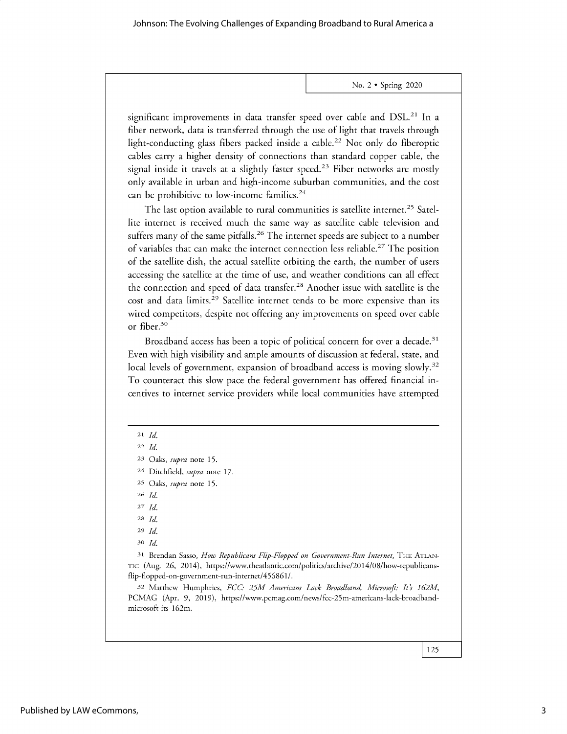significant improvements in data transfer speed over cable and DSL.<sup>21</sup> In a **fiber network, data is transferred through the use of light that travels through light-conducting glass fibers packed inside a cable. <sup>22</sup>Not only do fiberoptic cables carry a higher density of connections than standard copper cable, the signal inside it travels at a slightly faster speed. <sup>23</sup>Fiber networks are mostly only available in urban and high-income suburban communities, and the cost can be prohibitive to low-income families. <sup>24</sup>**

**The last option available to rural communities is satellite internet.<sup>2</sup> <sup>5</sup>Satellite internet is received much the same way as satellite cable television and suffers many of the same pitfalls.26 The internet speeds are subject to a number of variables that can make the internet connection less reliable. <sup>2</sup> <sup>7</sup>The position of the satellite dish, the actual satellite orbiting the earth, the number of users accessing the satellite at the time of use, and weather conditions can all effect the connection and speed of data** transfer.<sup>2</sup>8 **Another issue with satellite is the cost and data limits.<sup>2</sup> <sup>9</sup>Satellite internet tends to be more expensive than its wired competitors, despite not offering any improvements on speed over cable or fiber.<sup>30</sup>**

**Broadband access has been a topic of political concern for over a decade. 3 1 Even with high visibility and ample amounts of discussion at federal, state, and local levels of government, expansion of broadband access is moving slowly. <sup>3</sup><sup>2</sup> To counteract this slow pace the federal government has offered financial incentives to internet service providers while local communities have attempted**

<sup>21</sup>*Id.*

22 *Id.*

*23* **Oaks,** *supra* **note 15.**

**24 Ditchfield,** *supra* **note 17.**

**25 Oaks,** *supra* **note 15.**

26 *Id.*

*27 Id.*

28 *Id.*

29 *Id.*

<sup>30</sup>*Id.*

*31* **Brendan Sasso,** *How Republicans Flip-Flopped on Government-Run Internet,* THE ATLAN-TIC (Aug. 26, **2014), https://www.theatlantic.com/politics/archive/2014/08/how-republicansflip-flopped-on-government-run-internet/456861 /.**

*<sup>32</sup>***Matthew Humphries,** *FCC: 25M Americans Lack Broadband, Microsoft: Its 162M,* PCMAG **(Apr. 9, 2019), https://www.pcmag.com/news/fcc-25m-americans-lack-broadbandmicrosoft-its-162m.**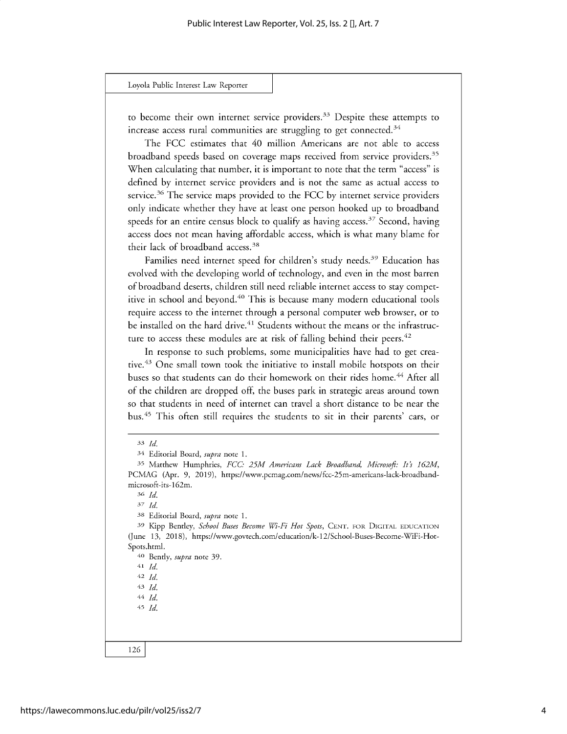**to become their own internet service providers. 3 3 Despite these attempts to increase access rural communities are struggling to get connected. <sup>34</sup>**

**The FCC estimates that 40 million Americans are not able to access broadband speeds based on coverage maps received from service providers.<sup>3</sup> <sup>5</sup> When calculating that number, it is important to note that the term "access" is defined by internet service providers and is not the same as actual access to** service. <sup>36</sup>**The service maps provided** to the FCC **by internet service providers only indicate whether they have at least one person hooked up to broadband speeds for an entire census block to qualify as having access. <sup>37</sup>Second, having access does not mean having affordable access, which is what many blame for their lack of broadband access. <sup>3</sup><sup>8</sup>**

Families need internet speed for children's study needs.<sup>39</sup> Education has **evolved with the developing world of technology, and even in the most barren of broadband deserts, children still need reliable internet access to stay competitive in school and beyond. <sup>40</sup>This is because many modern educational tools require access to the internet through a personal computer web browser, or to** be installed on the hard drive.<sup>41</sup> Students without the means or the infrastructure to access these modules are at risk of falling behind their peers.<sup>42</sup>

**In response to such problems, some municipalities have had to get creative. <sup>43</sup>One small town took the initiative to install mobile hotspots on their buses so that students can do their homework on their rides home.4 4 After all of the children are dropped off, the buses park in strategic areas around town so that students in need of internet can travel a short distance to be near the bus.4 This often still requires the students to sit in their parents' cars, or**

*36 Id.*

*37 Id.*

**38 Editorial Board,** *supra* **note 1.**

**40 Bently,** *supra* **note** *39.*

**<sup>41</sup>***Id.*

<sup>42</sup>*Id. 43 Id.*

44 *Id.*

<sup>45</sup>*Id.*

<sup>33</sup>*Id.*

**<sup>34</sup> Editorial Board,** *supra* **note 1.**

**<sup>35</sup>Matthew Humphries,** *FCC: 25M Americans Lack Broadband, Microsoft: Its 162M,* PCMAG **(Apr. 9, 2019), https://www.pcmag.com/news/fcc-25m-americans-lack-broadbandmicrosoft-its-162m.**

**<sup>39</sup>Kipp Bentley,** *School Buses Become Wi-Fi Hot Spots,* CENT. FOR DIGITAL EDUCATION **(June 13, 2018), https://www.govtech.com/education/k-12/School-Buses-Become-WiFi-Hot-Spots.html.**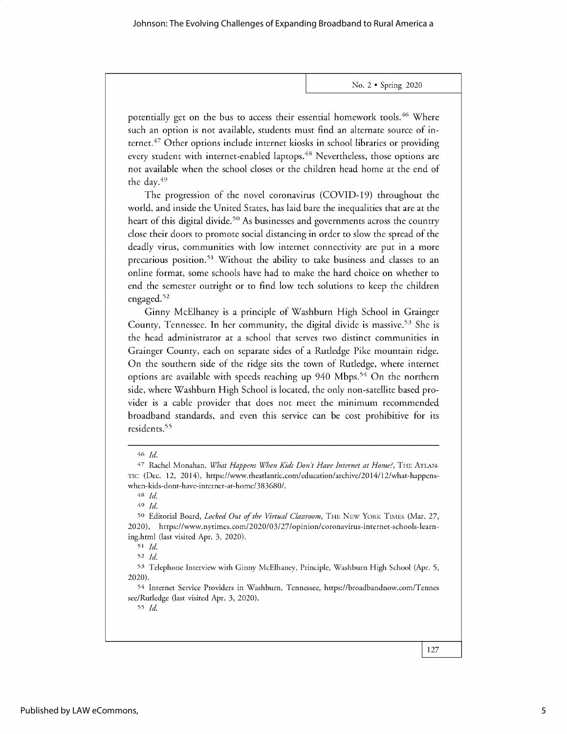potentially get on the bus to access their essential homework tools.<sup>46</sup> Where such an option is not available, students must find an alternate source of internet.<sup>47</sup> Other options include internet kiosks in school libraries or providing every student with internet-enabled laptops.<sup>48</sup> Nevertheless, those options are not available when the school closes or the children head home at the end of the day.<sup>49</sup>

The progression of the novel coronavirus (COVID-19) throughout the world, and inside the United States, has laid bare the inequalities that are at the heart of this digital divide.<sup>50</sup> As businesses and governments across the country close their doors to promote social distancing in order to slow the spread of the deadly virus, communities with low internet connectivity are put in a more precarious position.<sup>51</sup> Without the ability to take business and classes to an online format, some schools have had to make the hard choice on whether to end the semester outright or to find low tech solutions to keep the children engaged.<sup>52</sup>

Ginny McElhaney is a principle of Washburn High School in Grainger County, Tennessee. In her community, the digital divide is massive.<sup>53</sup> She is the head administrator at a school that serves two distinct communities in Grainger County, each on separate sides of a Rutledge Pike mountain ridge. On the southern side of the ridge sits the town of Rutledge, where internet options are available with speeds reaching up 940 Mbps.<sup>54</sup> On the northern side, where Washburn High School is located, the only non-satellite based provider is a cable provider that does not meet the minimum recommended broadband standards, and even this service can be cost prohibitive for its residents. <sup>55</sup>

48 *Id.*

<sup>49</sup>*Id.*

<sup>52</sup>*Id.*

55 *Id.*

<sup>46</sup> *Id.*

<sup>&</sup>lt;sup>47</sup> Rachel Monahan, *What Happens When Kids Don't Have Internet at Home?*, THE ATLAN-TIC (Dec. 12, 2014), https://www.theatlantic.com/education/archive/2014/12/what-happenswhen-kids-dont-have-internet-at-home/383680/.

**<sup>50</sup>**Editorial Board, *Locked Out of the Virtual Classroom,* THE NEW YORK TIMES (Mar. 27, 2020), https://www.nytimes.com/2020/03/27/opinion/coronavirus-internet-schools-learning.html (last visited Apr. 3, 2020).

**<sup>51</sup>***Id.*

<sup>53</sup> Telephone Interview with Ginny McElhaney, Principle, Washburn High School (Apr. 5, 2020).

<sup>54</sup> Internet Service Providers in Washburn, Tennessee, https://broadbandnow.com/Tennes see/Rutledge (last visited Apr. 3, 2020).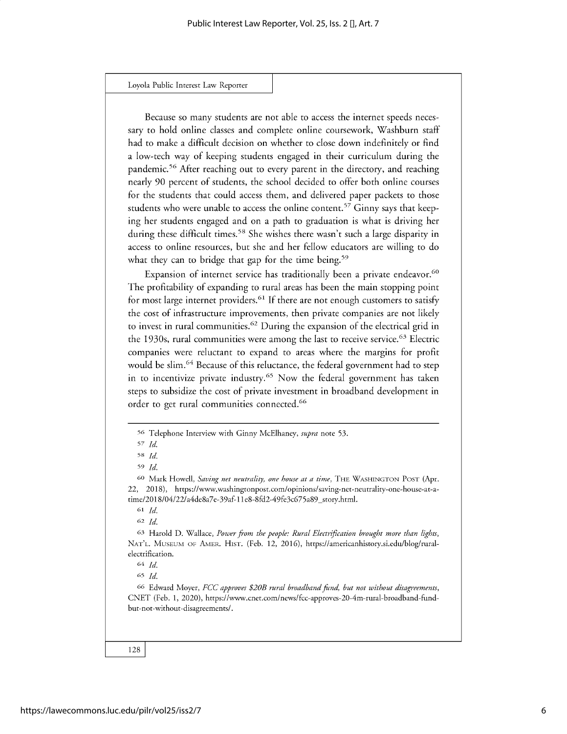**Because so many students are not able to access the internet speeds necessary to hold online classes and complete online coursework, Washburn staff had to make a difficult decision on whether to close down indefinitely or find a low-tech way of keeping students engaged in their curriculum during the pandemic.5 6 After reaching out to every parent in the directory, and reaching nearly 90 percent of students, the school decided to offer both online courses for the students that could access them, and delivered paper packets to those students who were unable to access the online content.57 Ginny says that keeping her students engaged and on a path to graduation is what is driving her during these difficult times. <sup>5</sup>8 She wishes there wasn't such a large disparity in access to online resources, but she and her fellow educators are willing to do** what they can to bridge that gap for the time being.<sup>59</sup>

**Expansion of internet service has traditionally been a private endeavor. <sup>60</sup> The profitability of expanding to rural areas has been the main stopping point** for most large internet providers.<sup>61</sup> If there are not enough customers to satisfy **the cost of infrastructure improvements, then private companies are not likely to invest in rural communities." During the expansion of the electrical grid in** the 1930s, rural communities were among the last to receive service.<sup>63</sup> Electric **companies were reluctant to expand to areas where the margins for profit would be slim. <sup>64</sup>Because of this reluctance, the federal government had to step** in to incentivize private industry.<sup>65</sup> Now the federal government has taken **steps to subsidize the cost of private investment in broadband development in order to get rural communities connected.6 6**

**<sup>62</sup>***Id.*

**<sup>63</sup>Harold D. Wallace,** *Power from the people: Rural Electrification brought more than lights,* **NAT'L. MUSEUM OF AMER. HIST. (Feb. 12, 2016), https://americanhistory.si.edu/blog/ruralelectrification.**

**<sup>66</sup>Edward** Moyer, *FCC approves \$20B rural broadband fund, but not without disagreements,* CNET **(Feb. 1, 2020), https://www.cnet.com/news/fcc-approves-20-4m-rural-broadband-fundbut-not-without-disagreements/.**

**<sup>56</sup> Telephone Interview with Ginny McElhaney,** *supra* **note 53.**

*<sup>57</sup> Id.*

**<sup>58</sup>***Id.*

<sup>59</sup>*Id.*

**Go Mark Howell,** *Saving net neutrality, one house at a time,* **THE WASHINGTON POST** (Apr. **22, 2018), https://www.washingtonpost.com/opinions/saving-net-neutrality-one-house-at-atime/2018/04/22/a4de8a7e-39af-11e8-8fd2-49fe3c675a89\_story.html.**

**<sup>61</sup>** *Id.*

**<sup>64</sup>***Id.*

**<sup>65</sup>***Id.*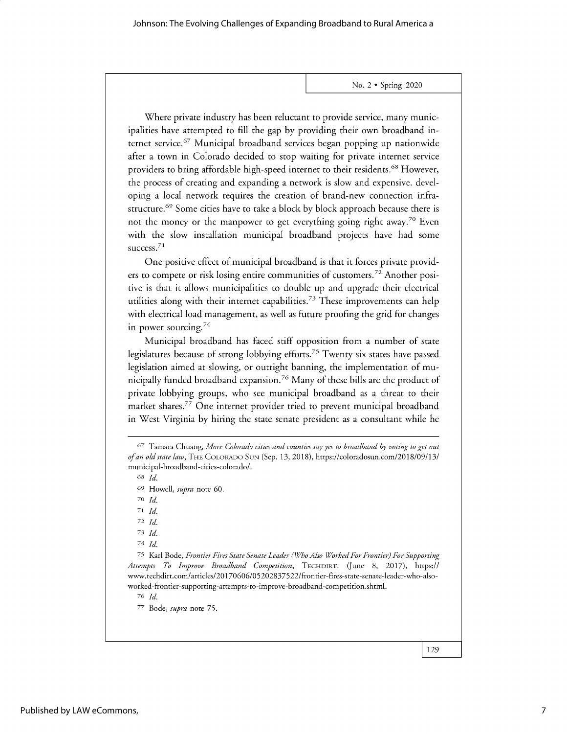Where private industry has been reluctant to provide service, many municipalities have attempted to fill the gap by providing their own broadband internet service.<sup>67</sup> Municipal broadband services began popping up nationwide after a town in Colorado decided to stop waiting for private internet service providers to bring affordable high-speed internet to their residents. <sup>6</sup>8 However, the process of creating and expanding a network is slow and expensive. developing a local network requires the creation of brand-new connection infrastructure.<sup>69</sup> Some cities have to take a block by block approach because there is not the money or the manpower to get everything going right away.<sup>70</sup> Even with the slow installation municipal broadband projects have had some success.<sup>71</sup>

One positive effect of municipal broadband is that it forces private providers to compete or risk losing entire communities of customers.<sup>72</sup> Another positive is that it allows municipalities to double up and upgrade their electrical utilities along with their internet capabilities.<sup>73</sup> These improvements can help with electrical load management, as well as future proofing the grid for changes in power sourcing. $74$ 

Municipal broadband has faced stiff opposition from a number of state legislatures because of strong lobbying efforts.<sup>75</sup> Twenty-six states have passed legislation aimed at slowing, or outright banning, the implementation of municipally funded broadband expansion.<sup>76</sup> Many of these bills are the product of private lobbying groups, who see municipal broadband as a threat to their market shares.<sup>77</sup> One internet provider tried to prevent municipal broadband in West Virginia by hiring the state senate president as a consultant while he

<sup>68</sup>*Id.*

**70** *Id.*

*71 Id.*

*72 Id.*

*7 Id.*

*7 Id.*

75 Karl Bode, *Frontier Fires State Senate Leader (Who Also Worked For Frontier) For Supporting Attempts To Improve Broadband Competition,* TECHDIRT. (June 8, 2017), *https://* www.techdirt.com/articles/20170606/05202837522/frontier-fires-state-senate-leader-who-alsoworked-frontier-supporting-attempts-to-improve-broadband-competition.shtml.

*76 Id.*

77 Bode, *supra* note 75.

*<sup>67</sup>* Tamara Chuang, More Colorado *cities and counties say yes to broadband by voting to get out ofan old state law,* THE COLORADO SUN (Sep. 13, 2018), https://coloradosun.com/2018/09/13/ municipal-broadband-cities-colorado/.

*<sup>69</sup>* Howell, *supra* note 60.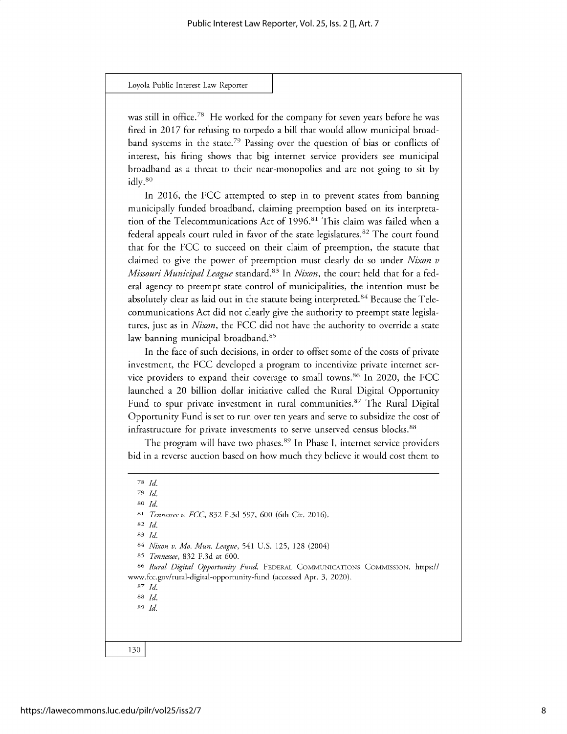was still in office.<sup>78</sup> He worked for the company for seven years before he was fired in 2017 for refusing to torpedo a bill that would allow municipal broadband systems in the state.<sup>79</sup> Passing over the question of bias or conflicts of interest, his firing shows that big internet service providers see municipal broadband as a threat to their near-monopolies and are not going to sit by idly.80

In 2016, the FCC attempted to step in to prevent states from banning municipally funded broadband, claiming preemption based on its interpretation of the Telecommunications Act of 1996.<sup>81</sup> This claim was failed when a federal appeals court ruled in favor of the state legislatures.<sup>82</sup> The court found that for the FCC to succeed on their claim of preemption, the statute that claimed to give the power of preemption must clearly do so under *Nixon v Missouri Municipal League* standard. <sup>83</sup>In *Nixon,* the court held that for a federal agency to preempt state control of municipalities, the intention must be absolutely clear as laid out in the statute being interpreted.<sup>84</sup> Because the Telecommunications Act did not clearly give the authority to preempt state legislatures, just as in *Nixon,* the FCC did not have the authority to override a state law banning municipal broadband.<sup>85</sup>

In the face of such decisions, in order to offset some of the costs of private investment, the FCC developed a program to incentivize private internet service providers to expand their coverage to small towns.<sup>86</sup> In 2020, the FCC launched a 20 billion dollar initiative called the Rural Digital Opportunity Fund to spur private investment in rural communities.<sup>87</sup> The Rural Digital Opportunity Fund is set to run over ten years and serve to subsidize the cost of infrastructure for private investments to serve unserved census blocks.<sup>88</sup>

The program will have two phases.<sup>89</sup> In Phase I, internet service providers bid in a reverse auction based on how much they believe it would cost them to

*79 Id.*

<sup>80</sup>*Id.*

<sup>81</sup>*Tennessee v. FCC,* 832 F.3d 597, 600 (6th Cir. 2016).

**82** *Id.*

**83** *Id.*

<sup>84</sup>*Nixon v. Mo. Mun. League,* 541 U.S. 125, 128 (2004)

**85** *Tennessee,* 832 F.3d at 600.

86 *Rural Digital Opportunity Fund,* FEDERAL COMMUNICATIONS COMMISSION, https:// www.fcc.gov/rural-digital-opportunity-fund (accessed Apr. 3, 2020).

**87** *Id.*

88 *Id.* 89 *Id.*

<sup>78</sup> *Id.*